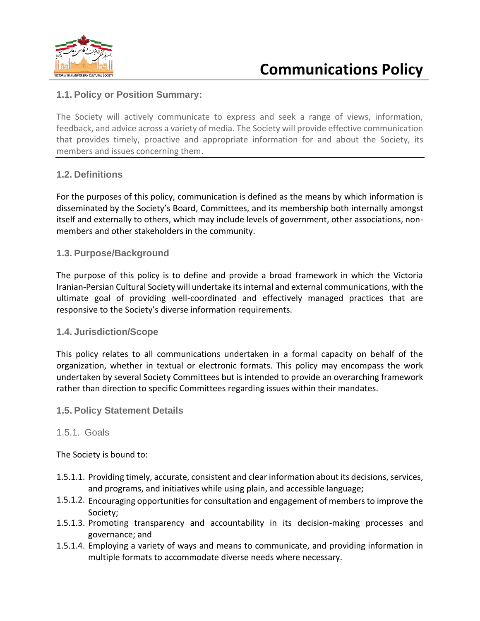

## **1.1. Policy or Position Summary:**

The Society will actively communicate to express and seek a range of views, information, feedback, and advice across a variety of media. The Society will provide effective communication that provides timely, proactive and appropriate information for and about the Society, its members and issues concerning them.

### **1.2. Definitions**

For the purposes of this policy, communication is defined as the means by which information is disseminated by the Society's Board, Committees, and its membership both internally amongst itself and externally to others, which may include levels of government, other associations, nonmembers and other stakeholders in the community.

### **1.3. Purpose/Background**

The purpose of this policy is to define and provide a broad framework in which the Victoria Iranian-Persian Cultural Society will undertake its internal and external communications, with the ultimate goal of providing well-coordinated and effectively managed practices that are responsive to the Society's diverse information requirements.

### **1.4. Jurisdiction/Scope**

This policy relates to all communications undertaken in a formal capacity on behalf of the organization, whether in textual or electronic formats. This policy may encompass the work undertaken by several Society Committees but is intended to provide an overarching framework rather than direction to specific Committees regarding issues within their mandates.

### **1.5. Policy Statement Details**

### 1.5.1. Goals

The Society is bound to:

- 1.5.1.1. Providing timely, accurate, consistent and clear information about its decisions, services, and programs, and initiatives while using plain, and accessible language;
- 1.5.1.2. Encouraging opportunities for consultation and engagement of members to improve the Society;
- 1.5.1.3. Promoting transparency and accountability in its decision-making processes and governance; and
- 1.5.1.4. Employing a variety of ways and means to communicate, and providing information in multiple formats to accommodate diverse needs where necessary.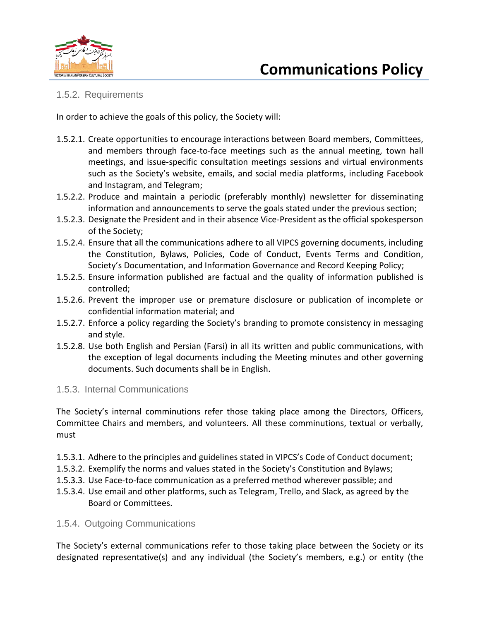

## **Communications Policy**

## 1.5.2. Requirements

In order to achieve the goals of this policy, the Society will:

- 1.5.2.1. Create opportunities to encourage interactions between Board members, Committees, and members through face-to-face meetings such as the annual meeting, town hall meetings, and issue-specific consultation meetings sessions and virtual environments such as the Society's website, emails, and social media platforms, including Facebook and Instagram, and Telegram;
- 1.5.2.2. Produce and maintain a periodic (preferably monthly) newsletter for disseminating information and announcements to serve the goals stated under the previous section;
- 1.5.2.3. Designate the President and in their absence Vice-President as the official spokesperson of the Society;
- 1.5.2.4. Ensure that all the communications adhere to all VIPCS governing documents, including the Constitution, Bylaws, Policies, Code of Conduct, Events Terms and Condition, Society's Documentation, and Information Governance and Record Keeping Policy;
- 1.5.2.5. Ensure information published are factual and the quality of information published is controlled;
- 1.5.2.6. Prevent the improper use or premature disclosure or publication of incomplete or confidential information material; and
- 1.5.2.7. Enforce a policy regarding the Society's branding to promote consistency in messaging and style.
- 1.5.2.8. Use both English and Persian (Farsi) in all its written and public communications, with the exception of legal documents including the Meeting minutes and other governing documents. Such documents shall be in English.

### 1.5.3. Internal Communications

The Society's internal comminutions refer those taking place among the Directors, Officers, Committee Chairs and members, and volunteers. All these comminutions, textual or verbally, must

- 1.5.3.1. Adhere to the principles and guidelines stated in VIPCS's Code of Conduct document;
- 1.5.3.2. Exemplify the norms and values stated in the Society's Constitution and Bylaws;
- 1.5.3.3. Use Face-to-face communication as a preferred method wherever possible; and
- 1.5.3.4. Use email and other platforms, such as Telegram, Trello, and Slack, as agreed by the Board or Committees.

### 1.5.4. Outgoing Communications

The Society's external communications refer to those taking place between the Society or its designated representative(s) and any individual (the Society's members, e.g.) or entity (the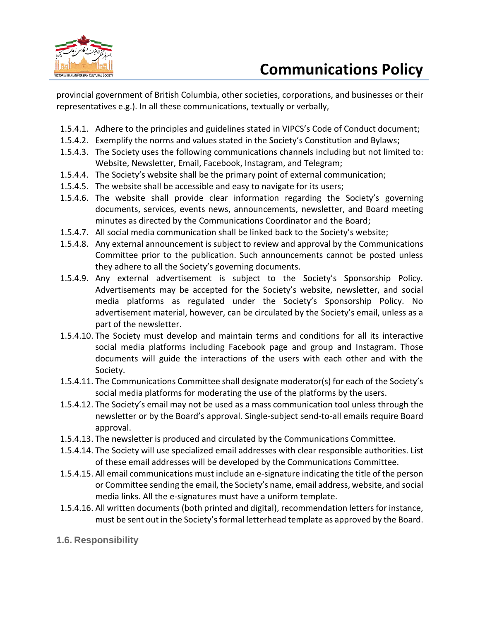

provincial government of British Columbia, other societies, corporations, and businesses or their representatives e.g.). In all these communications, textually or verbally,

- 1.5.4.1. Adhere to the principles and guidelines stated in VIPCS's Code of Conduct document;
- 1.5.4.2. Exemplify the norms and values stated in the Society's Constitution and Bylaws;
- 1.5.4.3. The Society uses the following communications channels including but not limited to: Website, Newsletter, Email, Facebook, Instagram, and Telegram;
- 1.5.4.4. The Society's website shall be the primary point of external communication;
- 1.5.4.5. The website shall be accessible and easy to navigate for its users;
- 1.5.4.6. The website shall provide clear information regarding the Society's governing documents, services, events news, announcements, newsletter, and Board meeting minutes as directed by the Communications Coordinator and the Board;
- 1.5.4.7. All social media communication shall be linked back to the Society's website;
- 1.5.4.8. Any external announcement is subject to review and approval by the Communications Committee prior to the publication. Such announcements cannot be posted unless they adhere to all the Society's governing documents.
- 1.5.4.9. Any external advertisement is subject to the Society's Sponsorship Policy. Advertisements may be accepted for the Society's website, newsletter, and social media platforms as regulated under the Society's Sponsorship Policy. No advertisement material, however, can be circulated by the Society's email, unless as a part of the newsletter.
- 1.5.4.10. The Society must develop and maintain terms and conditions for all its interactive social media platforms including Facebook page and group and Instagram. Those documents will guide the interactions of the users with each other and with the Society.
- 1.5.4.11. The Communications Committee shall designate moderator(s) for each of the Society's social media platforms for moderating the use of the platforms by the users.
- 1.5.4.12. The Society's email may not be used as a mass communication tool unless through the newsletter or by the Board's approval. Single-subject send-to-all emails require Board approval.
- 1.5.4.13. The newsletter is produced and circulated by the Communications Committee.
- 1.5.4.14. The Society will use specialized email addresses with clear responsible authorities. List of these email addresses will be developed by the Communications Committee.
- 1.5.4.15. All email communications must include an e-signature indicating the title of the person or Committee sending the email, the Society's name, email address, website, and social media links. All the e-signatures must have a uniform template.
- 1.5.4.16. All written documents (both printed and digital), recommendation letters for instance, must be sent out in the Society's formal letterhead template as approved by the Board.
- **1.6. Responsibility**